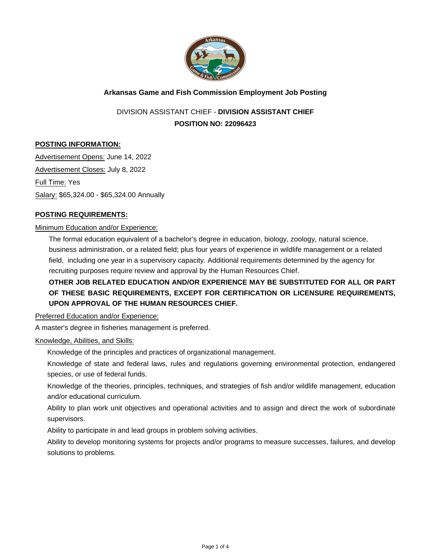

# **Arkansas Game and Fish Commission Employment Job Posting**

DIVISION ASSISTANT CHIEF - **DIVISION ASSISTANT CHIEF POSITION NO: 22096423**

# **POSTING INFORMATION:**

Advertisement Opens: June 14, 2022 Advertisement Closes: July 8, 2022 Full Time: Yes Salary: \$65,324.00 - \$65,324.00 Annually

### **POSTING REQUIREMENTS:**

### Minimum Education and/or Experience:

The formal education equivalent of a bachelor's degree in education, biology, zoology, natural science, business administration, or a related field; plus four years of experience in wildlife management or a related field, including one year in a supervisory capacity. Additional requirements determined by the agency for recruiting purposes require review and approval by the Human Resources Chief.

# **OTHER JOB RELATED EDUCATION AND/OR EXPERIENCE MAY BE SUBSTITUTED FOR ALL OR PART OF THESE BASIC REQUIREMENTS, EXCEPT FOR CERTIFICATION OR LICENSURE REQUIREMENTS, UPON APPROVAL OF THE HUMAN RESOURCES CHIEF.**

Preferred Education and/or Experience:

A master's degree in fisheries management is preferred.

### Knowledge, Abilities, and Skills:

Knowledge of the principles and practices of organizational management.

Knowledge of state and federal laws, rules and regulations governing environmental protection, endangered species, or use of federal funds.

Knowledge of the theories, principles, techniques, and strategies of fish and/or wildlife management, education and/or educational curriculum.

Ability to plan work unit objectives and operational activities and to assign and direct the work of subordinate supervisors.

Ability to participate in and lead groups in problem solving activities.

Ability to develop monitoring systems for projects and/or programs to measure successes, failures, and develop solutions to problems.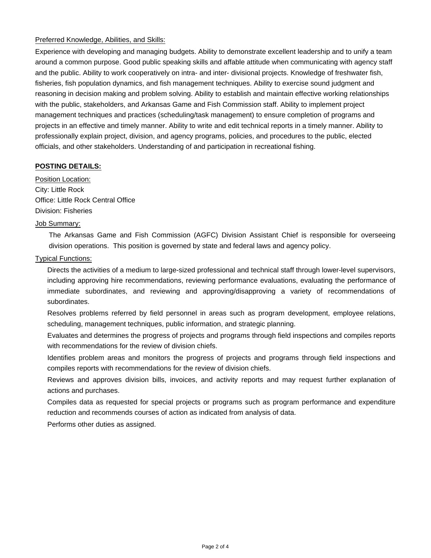# Preferred Knowledge, Abilities, and Skills:

Experience with developing and managing budgets. Ability to demonstrate excellent leadership and to unify a team around a common purpose. Good public speaking skills and affable attitude when communicating with agency staff and the public. Ability to work cooperatively on intra- and inter- divisional projects. Knowledge of freshwater fish, fisheries, fish population dynamics, and fish management techniques. Ability to exercise sound judgment and reasoning in decision making and problem solving. Ability to establish and maintain effective working relationships with the public, stakeholders, and Arkansas Game and Fish Commission staff. Ability to implement project management techniques and practices (scheduling/task management) to ensure completion of programs and projects in an effective and timely manner. Ability to write and edit technical reports in a timely manner. Ability to professionally explain project, division, and agency programs, policies, and procedures to the public, elected officials, and other stakeholders. Understanding of and participation in recreational fishing.

# **POSTING DETAILS:**

Position Location: City: Little Rock Office: Little Rock Central Office Division: Fisheries

### Job Summary:

The Arkansas Game and Fish Commission (AGFC) Division Assistant Chief is responsible for overseeing division operations. This position is governed by state and federal laws and agency policy.

### Typical Functions:

Directs the activities of a medium to large-sized professional and technical staff through lower-level supervisors, including approving hire recommendations, reviewing performance evaluations, evaluating the performance of immediate subordinates, and reviewing and approving/disapproving a variety of recommendations of subordinates.

Resolves problems referred by field personnel in areas such as program development, employee relations, scheduling, management techniques, public information, and strategic planning.

Evaluates and determines the progress of projects and programs through field inspections and compiles reports with recommendations for the review of division chiefs.

Identifies problem areas and monitors the progress of projects and programs through field inspections and compiles reports with recommendations for the review of division chiefs.

Reviews and approves division bills, invoices, and activity reports and may request further explanation of actions and purchases.

Compiles data as requested for special projects or programs such as program performance and expenditure reduction and recommends courses of action as indicated from analysis of data.

Performs other duties as assigned.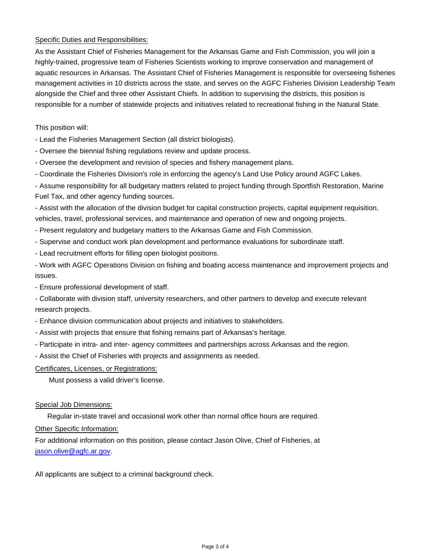## Specific Duties and Responsibilities:

As the Assistant Chief of Fisheries Management for the Arkansas Game and Fish Commission, you will join a highly-trained, progressive team of Fisheries Scientists working to improve conservation and management of aquatic resources in Arkansas. The Assistant Chief of Fisheries Management is responsible for overseeing fisheries management activities in 10 districts across the state, and serves on the AGFC Fisheries Division Leadership Team alongside the Chief and three other Assistant Chiefs. In addition to supervising the districts, this position is responsible for a number of statewide projects and initiatives related to recreational fishing in the Natural State.

### This position will:

- Lead the Fisheries Management Section (all district biologists).
- Oversee the biennial fishing regulations review and update process.
- Oversee the development and revision of species and fishery management plans.
- Coordinate the Fisheries Division's role in enforcing the agency's Land Use Policy around AGFC Lakes.

- Assume responsibility for all budgetary matters related to project funding through Sportfish Restoration, Marine Fuel Tax, and other agency funding sources.

- Assist with the allocation of the division budget for capital construction projects, capital equipment requisition, vehicles, travel, professional services, and maintenance and operation of new and ongoing projects.

- Present regulatory and budgetary matters to the Arkansas Game and Fish Commission.
- Supervise and conduct work plan development and performance evaluations for subordinate staff.
- Lead recruitment efforts for filling open biologist positions.

- Work with AGFC Operations Division on fishing and boating access maintenance and improvement projects and issues.

- Ensure professional development of staff.

- Collaborate with division staff, university researchers, and other partners to develop and execute relevant research projects.

- Enhance division communication about projects and initiatives to stakeholders.

- Assist with projects that ensure that fishing remains part of Arkansas's heritage.
- Participate in intra- and inter- agency committees and partnerships across Arkansas and the region.
- Assist the Chief of Fisheries with projects and assignments as needed.

Certificates, Licenses, or Registrations:

Must possess a valid driver's license.

### Special Job Dimensions:

Regular in-state travel and occasional work other than normal office hours are required.

### Other Specific Information:

For additional information on this position, please contact Jason Olive, Chief of Fisheries, at [jason.olive@agfc.ar.gov.](mailto:jason.olive@agfc.ar.gov)

All applicants are subject to a criminal background check.